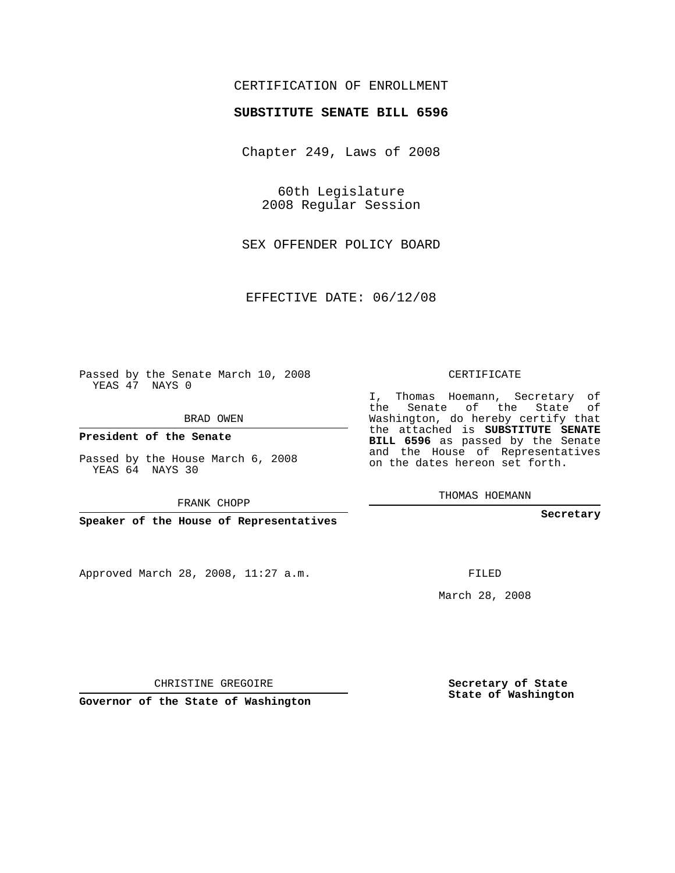## CERTIFICATION OF ENROLLMENT

#### **SUBSTITUTE SENATE BILL 6596**

Chapter 249, Laws of 2008

60th Legislature 2008 Regular Session

SEX OFFENDER POLICY BOARD

EFFECTIVE DATE: 06/12/08

Passed by the Senate March 10, 2008 YEAS 47 NAYS 0

BRAD OWEN

**President of the Senate**

Passed by the House March 6, 2008 YEAS 64 NAYS 30

FRANK CHOPP

**Speaker of the House of Representatives**

Approved March 28, 2008, 11:27 a.m.

CERTIFICATE

I, Thomas Hoemann, Secretary of the Senate of the State of Washington, do hereby certify that the attached is **SUBSTITUTE SENATE BILL 6596** as passed by the Senate and the House of Representatives on the dates hereon set forth.

THOMAS HOEMANN

**Secretary**

FILED

March 28, 2008

**Secretary of State State of Washington**

CHRISTINE GREGOIRE

**Governor of the State of Washington**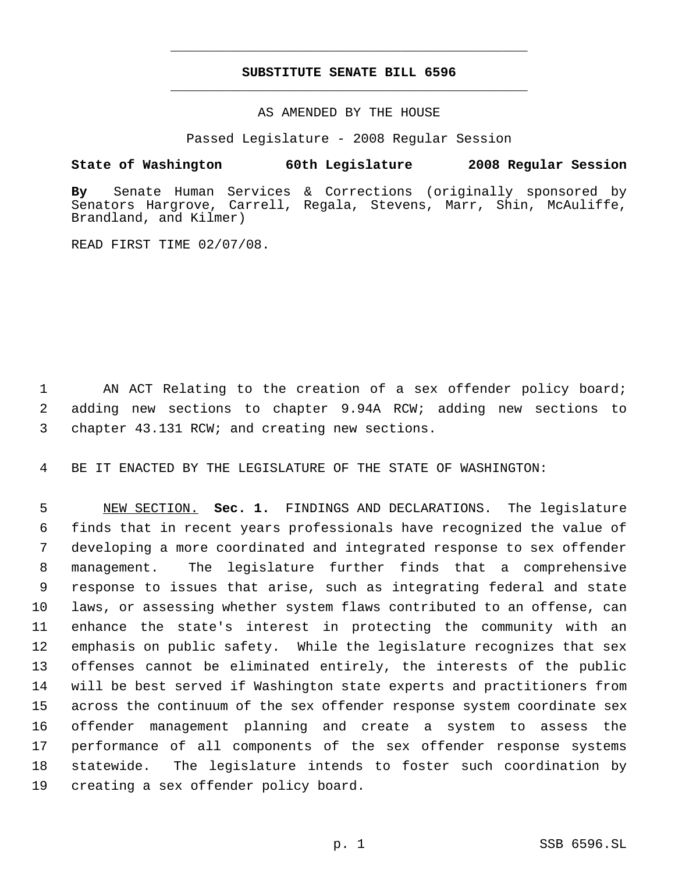# **SUBSTITUTE SENATE BILL 6596** \_\_\_\_\_\_\_\_\_\_\_\_\_\_\_\_\_\_\_\_\_\_\_\_\_\_\_\_\_\_\_\_\_\_\_\_\_\_\_\_\_\_\_\_\_

\_\_\_\_\_\_\_\_\_\_\_\_\_\_\_\_\_\_\_\_\_\_\_\_\_\_\_\_\_\_\_\_\_\_\_\_\_\_\_\_\_\_\_\_\_

## AS AMENDED BY THE HOUSE

Passed Legislature - 2008 Regular Session

## **State of Washington 60th Legislature 2008 Regular Session**

**By** Senate Human Services & Corrections (originally sponsored by Senators Hargrove, Carrell, Regala, Stevens, Marr, Shin, McAuliffe, Brandland, and Kilmer)

READ FIRST TIME 02/07/08.

1 AN ACT Relating to the creation of a sex offender policy board; 2 adding new sections to chapter 9.94A RCW; adding new sections to 3 chapter 43.131 RCW; and creating new sections.

4 BE IT ENACTED BY THE LEGISLATURE OF THE STATE OF WASHINGTON:

 NEW SECTION. **Sec. 1.** FINDINGS AND DECLARATIONS. The legislature finds that in recent years professionals have recognized the value of developing a more coordinated and integrated response to sex offender management. The legislature further finds that a comprehensive response to issues that arise, such as integrating federal and state laws, or assessing whether system flaws contributed to an offense, can enhance the state's interest in protecting the community with an emphasis on public safety. While the legislature recognizes that sex offenses cannot be eliminated entirely, the interests of the public will be best served if Washington state experts and practitioners from across the continuum of the sex offender response system coordinate sex offender management planning and create a system to assess the performance of all components of the sex offender response systems statewide. The legislature intends to foster such coordination by creating a sex offender policy board.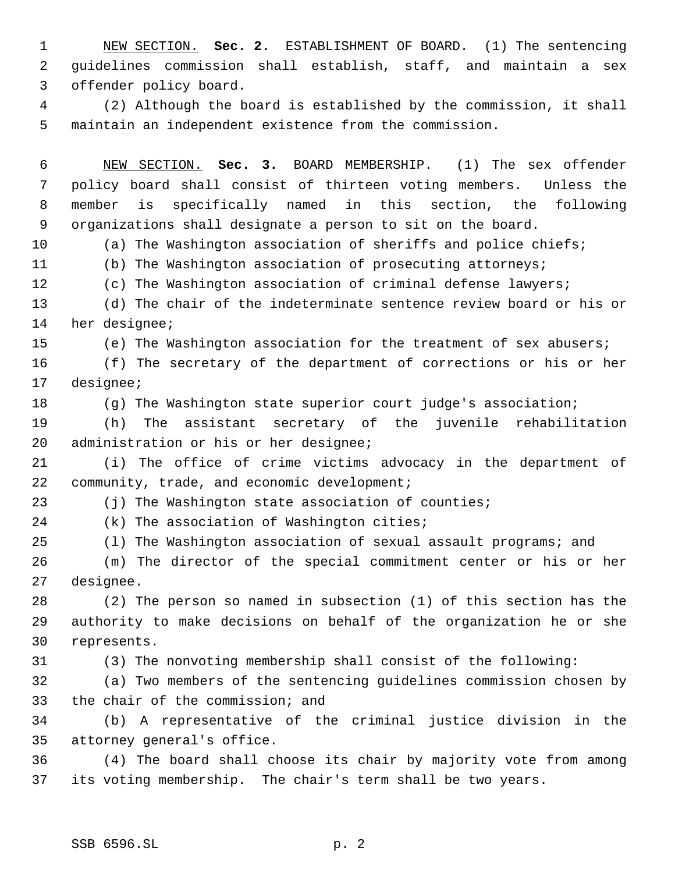NEW SECTION. **Sec. 2.** ESTABLISHMENT OF BOARD. (1) The sentencing guidelines commission shall establish, staff, and maintain a sex offender policy board.

 (2) Although the board is established by the commission, it shall maintain an independent existence from the commission.

 NEW SECTION. **Sec. 3.** BOARD MEMBERSHIP. (1) The sex offender policy board shall consist of thirteen voting members. Unless the member is specifically named in this section, the following organizations shall designate a person to sit on the board.

(a) The Washington association of sheriffs and police chiefs;

(b) The Washington association of prosecuting attorneys;

(c) The Washington association of criminal defense lawyers;

 (d) The chair of the indeterminate sentence review board or his or her designee;

(e) The Washington association for the treatment of sex abusers;

 (f) The secretary of the department of corrections or his or her designee;

(g) The Washington state superior court judge's association;

 (h) The assistant secretary of the juvenile rehabilitation administration or his or her designee;

 (i) The office of crime victims advocacy in the department of community, trade, and economic development;

23 (j) The Washington state association of counties;

(k) The association of Washington cities;

(l) The Washington association of sexual assault programs; and

 (m) The director of the special commitment center or his or her designee.

 (2) The person so named in subsection (1) of this section has the authority to make decisions on behalf of the organization he or she represents.

(3) The nonvoting membership shall consist of the following:

 (a) Two members of the sentencing guidelines commission chosen by the chair of the commission; and

 (b) A representative of the criminal justice division in the attorney general's office.

 (4) The board shall choose its chair by majority vote from among its voting membership. The chair's term shall be two years.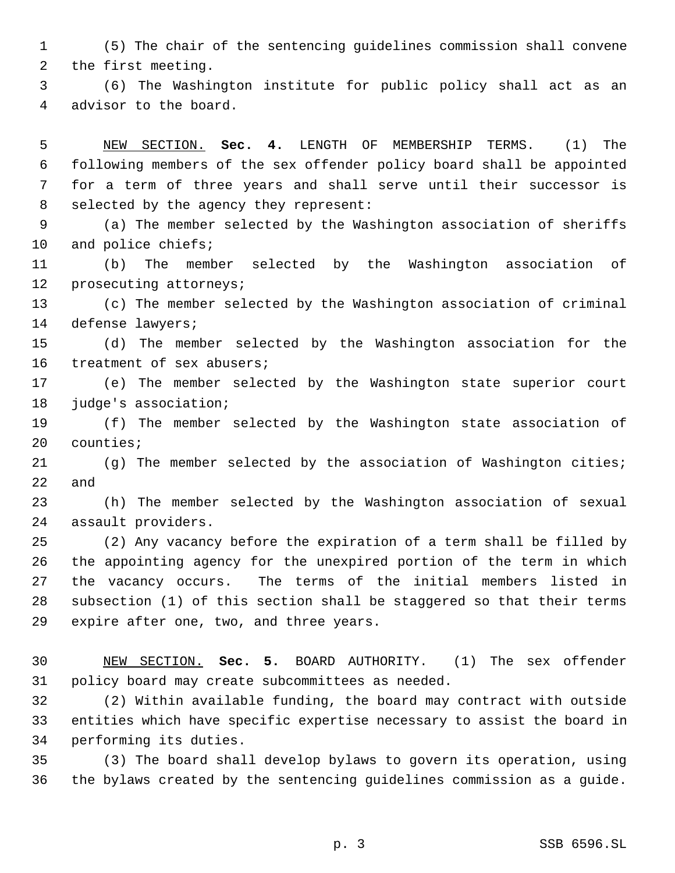(5) The chair of the sentencing guidelines commission shall convene the first meeting.

 (6) The Washington institute for public policy shall act as an advisor to the board.

 NEW SECTION. **Sec. 4.** LENGTH OF MEMBERSHIP TERMS. (1) The following members of the sex offender policy board shall be appointed for a term of three years and shall serve until their successor is selected by the agency they represent:

 (a) The member selected by the Washington association of sheriffs and police chiefs;

 (b) The member selected by the Washington association of prosecuting attorneys;

 (c) The member selected by the Washington association of criminal defense lawyers;

 (d) The member selected by the Washington association for the treatment of sex abusers;

 (e) The member selected by the Washington state superior court 18 judge's association;

 (f) The member selected by the Washington state association of counties;

 (g) The member selected by the association of Washington cities; and

 (h) The member selected by the Washington association of sexual assault providers.

 (2) Any vacancy before the expiration of a term shall be filled by the appointing agency for the unexpired portion of the term in which the vacancy occurs. The terms of the initial members listed in subsection (1) of this section shall be staggered so that their terms expire after one, two, and three years.

 NEW SECTION. **Sec. 5.** BOARD AUTHORITY. (1) The sex offender policy board may create subcommittees as needed.

 (2) Within available funding, the board may contract with outside entities which have specific expertise necessary to assist the board in performing its duties.

 (3) The board shall develop bylaws to govern its operation, using the bylaws created by the sentencing guidelines commission as a guide.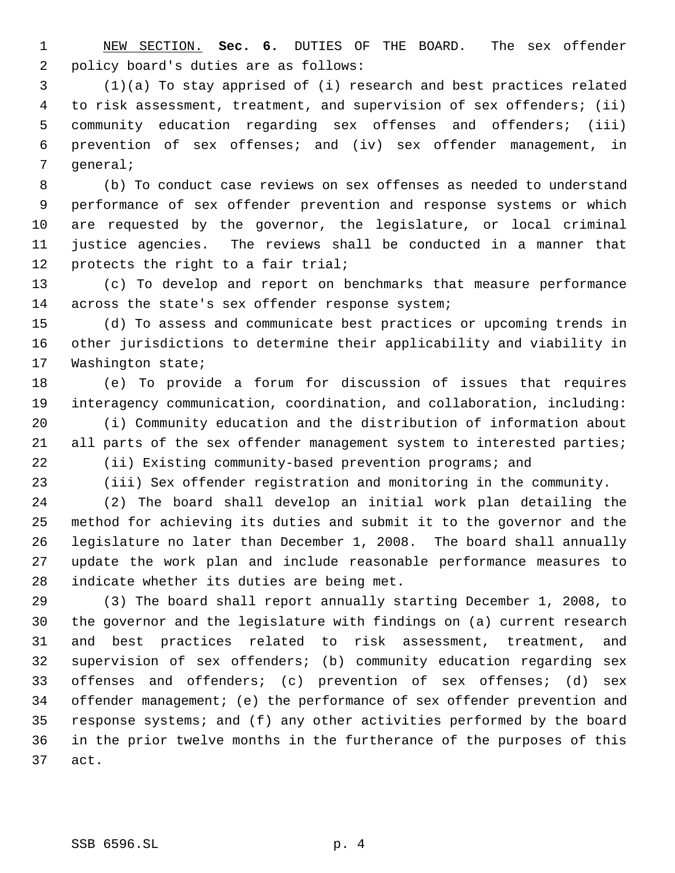NEW SECTION. **Sec. 6.** DUTIES OF THE BOARD. The sex offender policy board's duties are as follows:

 (1)(a) To stay apprised of (i) research and best practices related to risk assessment, treatment, and supervision of sex offenders; (ii) community education regarding sex offenses and offenders; (iii) prevention of sex offenses; and (iv) sex offender management, in general;

 (b) To conduct case reviews on sex offenses as needed to understand performance of sex offender prevention and response systems or which are requested by the governor, the legislature, or local criminal justice agencies. The reviews shall be conducted in a manner that 12 protects the right to a fair trial;

 (c) To develop and report on benchmarks that measure performance across the state's sex offender response system;

 (d) To assess and communicate best practices or upcoming trends in other jurisdictions to determine their applicability and viability in Washington state;

 (e) To provide a forum for discussion of issues that requires interagency communication, coordination, and collaboration, including:

 (i) Community education and the distribution of information about 21 all parts of the sex offender management system to interested parties; (ii) Existing community-based prevention programs; and

(iii) Sex offender registration and monitoring in the community.

 (2) The board shall develop an initial work plan detailing the method for achieving its duties and submit it to the governor and the legislature no later than December 1, 2008. The board shall annually update the work plan and include reasonable performance measures to indicate whether its duties are being met.

 (3) The board shall report annually starting December 1, 2008, to the governor and the legislature with findings on (a) current research and best practices related to risk assessment, treatment, and supervision of sex offenders; (b) community education regarding sex offenses and offenders; (c) prevention of sex offenses; (d) sex offender management; (e) the performance of sex offender prevention and response systems; and (f) any other activities performed by the board in the prior twelve months in the furtherance of the purposes of this act.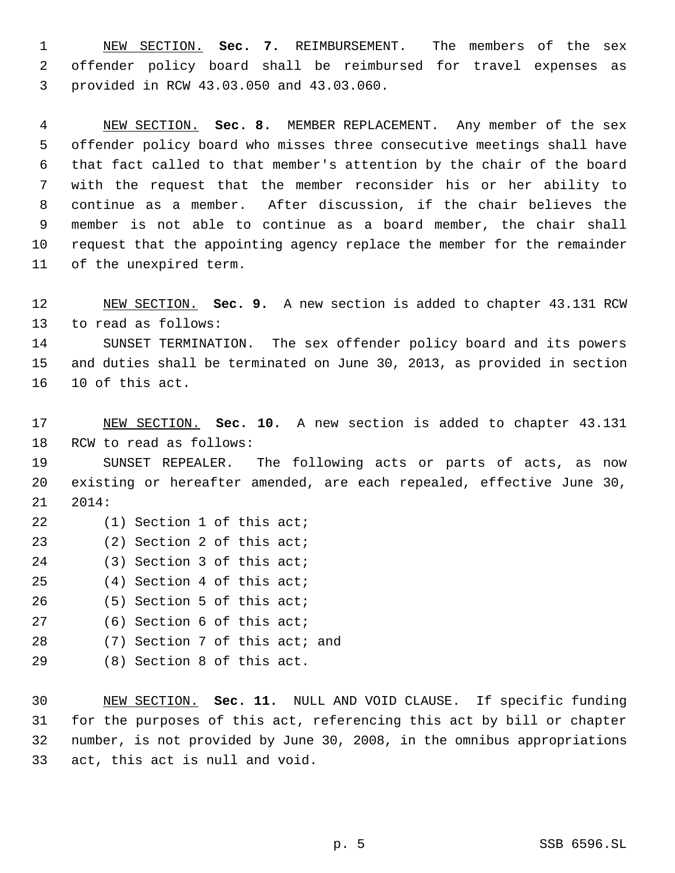NEW SECTION. **Sec. 7.** REIMBURSEMENT. The members of the sex offender policy board shall be reimbursed for travel expenses as provided in RCW 43.03.050 and 43.03.060.

 NEW SECTION. **Sec. 8.** MEMBER REPLACEMENT. Any member of the sex offender policy board who misses three consecutive meetings shall have that fact called to that member's attention by the chair of the board with the request that the member reconsider his or her ability to continue as a member. After discussion, if the chair believes the member is not able to continue as a board member, the chair shall request that the appointing agency replace the member for the remainder of the unexpired term.

 NEW SECTION. **Sec. 9.** A new section is added to chapter 43.131 RCW to read as follows:

 SUNSET TERMINATION. The sex offender policy board and its powers and duties shall be terminated on June 30, 2013, as provided in section 10 of this act.

 NEW SECTION. **Sec. 10.** A new section is added to chapter 43.131 RCW to read as follows:

 SUNSET REPEALER. The following acts or parts of acts, as now existing or hereafter amended, are each repealed, effective June 30, 2014:

(1) Section 1 of this act;

- (2) Section 2 of this act;
- (3) Section 3 of this act;
- (4) Section 4 of this act;
- (5) Section 5 of this act;
- (6) Section 6 of this act;
- (7) Section 7 of this act; and
- (8) Section 8 of this act.

 NEW SECTION. **Sec. 11.** NULL AND VOID CLAUSE. If specific funding for the purposes of this act, referencing this act by bill or chapter number, is not provided by June 30, 2008, in the omnibus appropriations act, this act is null and void.